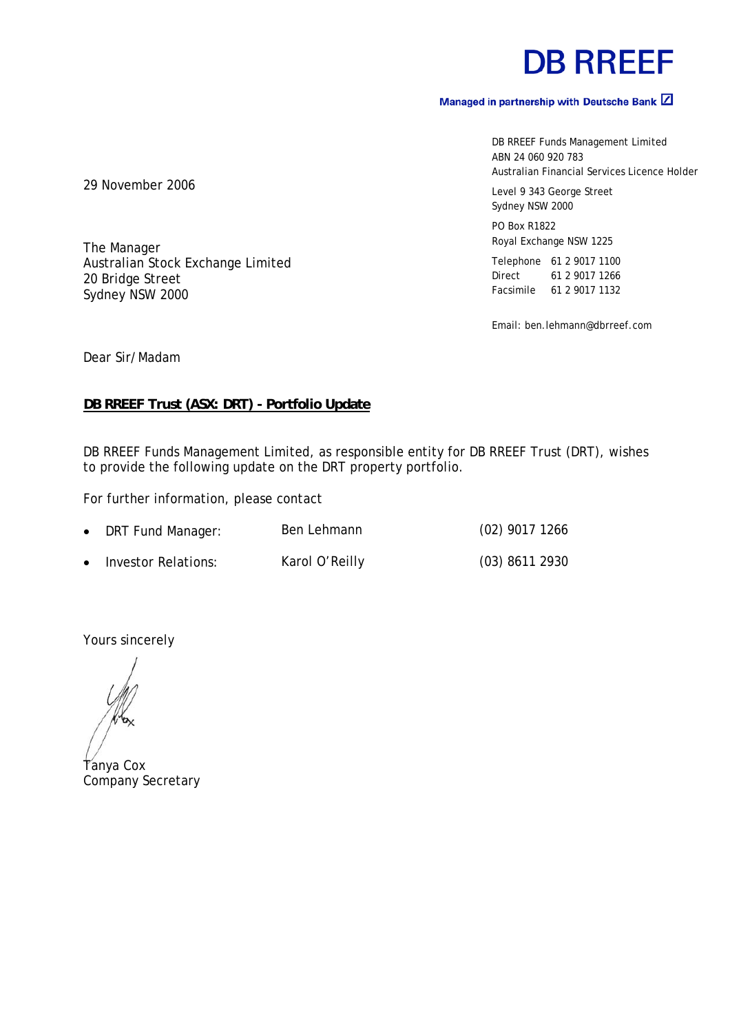# **DB RREEF**

## Managed in partnership with Deutsche Bank  $\boxed{2}$

DB RREEF Funds Management Limited ABN 24 060 920 783 Australian Financial Services Licence Holder

Level 9 343 George Street Sydney NSW 2000

PO Box R1822 Royal Exchange NSW 1225

Telephone 61 2 9017 1100 Direct 61 2 9017 1266 Facsimile 61 2 9017 1132

Email: ben.lehmann@dbrreef.com

29 November 2006

The Manager Australian Stock Exchange Limited 20 Bridge Street Sydney NSW 2000

Dear Sir/Madam

#### **DB RREEF Trust (ASX: DRT) - Portfolio Update**

DB RREEF Funds Management Limited, as responsible entity for DB RREEF Trust (DRT), wishes to provide the following update on the DRT property portfolio.

For further information, please contact

| • DRT Fund Manager:   | Ben Lehmann    | $(02)$ 9017 1266 |
|-----------------------|----------------|------------------|
| • Investor Relations: | Karol O'Reilly | $(03)$ 8611 2930 |

Yours sincerely

Tanya Cox Company Secretary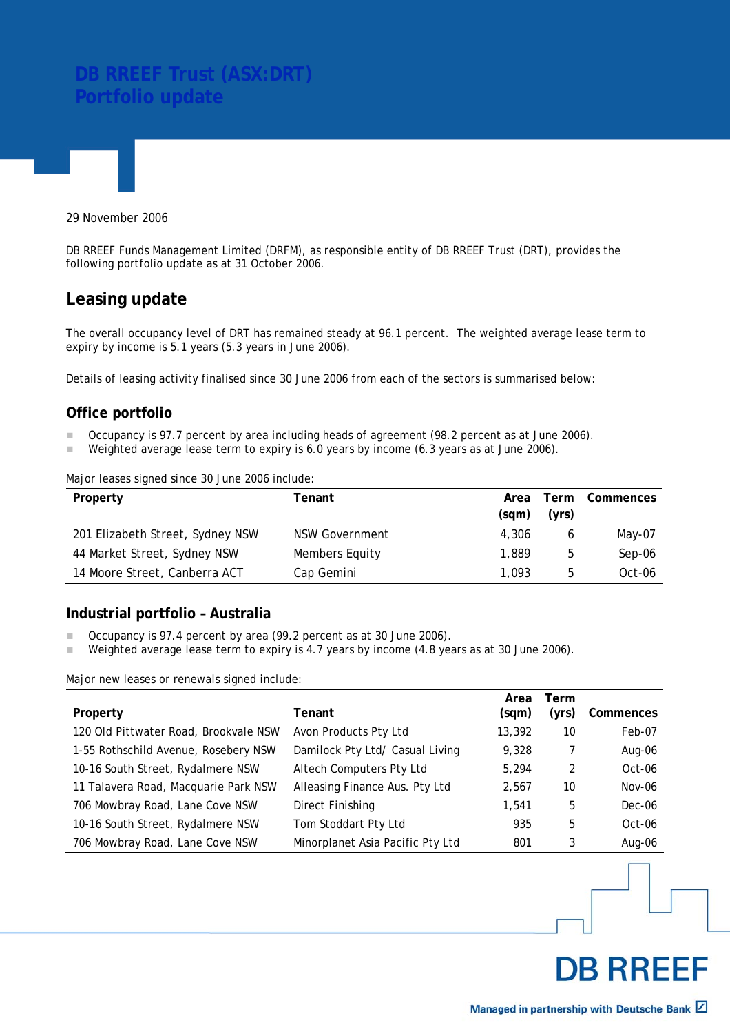# **DB RREEF Trust (ASX:DRT) Portfolio update**

29 November 2006

DB RREEF Funds Management Limited (DRFM), as responsible entity of DB RREEF Trust (DRT), provides the following portfolio update as at 31 October 2006.

# **Leasing update**

The overall occupancy level of DRT has remained steady at 96.1 percent. The weighted average lease term to expiry by income is 5.1 years (5.3 years in June 2006).

Details of leasing activity finalised since 30 June 2006 from each of the sectors is summarised below:

#### **Office portfolio**

- Occupancy is 97.7 percent by area including heads of agreement (98.2 percent as at June 2006).
- Weighted average lease term to expiry is 6.0 years by income (6.3 years as at June 2006).

#### Major leases signed since 30 June 2006 include:

| Property                         | Tenant                | Area  | Term  | Commences |
|----------------------------------|-----------------------|-------|-------|-----------|
|                                  |                       | (sam) | (yrs) |           |
| 201 Elizabeth Street, Sydney NSW | <b>NSW Government</b> | 4.306 | 6     | May-07    |
| 44 Market Street, Sydney NSW     | Members Equity        | 1,889 | ხ     | Sep-06    |
| 14 Moore Street, Canberra ACT    | Cap Gemini            | 1.093 | b     | Oct-06    |

#### **Industrial portfolio – Australia**

- Occupancy is 97.4 percent by area (99.2 percent as at 30 June 2006).
- Weighted average lease term to expiry is 4.7 years by income (4.8 years as at 30 June 2006).

Major new leases or renewals signed include:

|                                       |                                  | Area   | Term  |           |
|---------------------------------------|----------------------------------|--------|-------|-----------|
| Property                              | Tenant                           | (sqm)  | (yrs) | Commences |
| 120 Old Pittwater Road, Brookvale NSW | Avon Products Pty Ltd            | 13,392 | 10    | Feb-07    |
| 1-55 Rothschild Avenue, Rosebery NSW  | Damilock Pty Ltd/ Casual Living  | 9.328  |       | Aug-06    |
| 10-16 South Street, Rydalmere NSW     | Altech Computers Pty Ltd         | 5,294  | 2     | Oct-06    |
| 11 Talavera Road, Macquarie Park NSW  | Alleasing Finance Aus. Pty Ltd   | 2,567  | 10    | Nov-06    |
| 706 Mowbray Road, Lane Cove NSW       | Direct Finishing                 | 1.541  | 5     | Dec-06    |
| 10-16 South Street, Rydalmere NSW     | Tom Stoddart Pty Ltd             | 935    | 5     | $Oct-06$  |
| 706 Mowbray Road, Lane Cove NSW       | Minorplanet Asia Pacific Pty Ltd | 801    | 3     | Aug-06    |

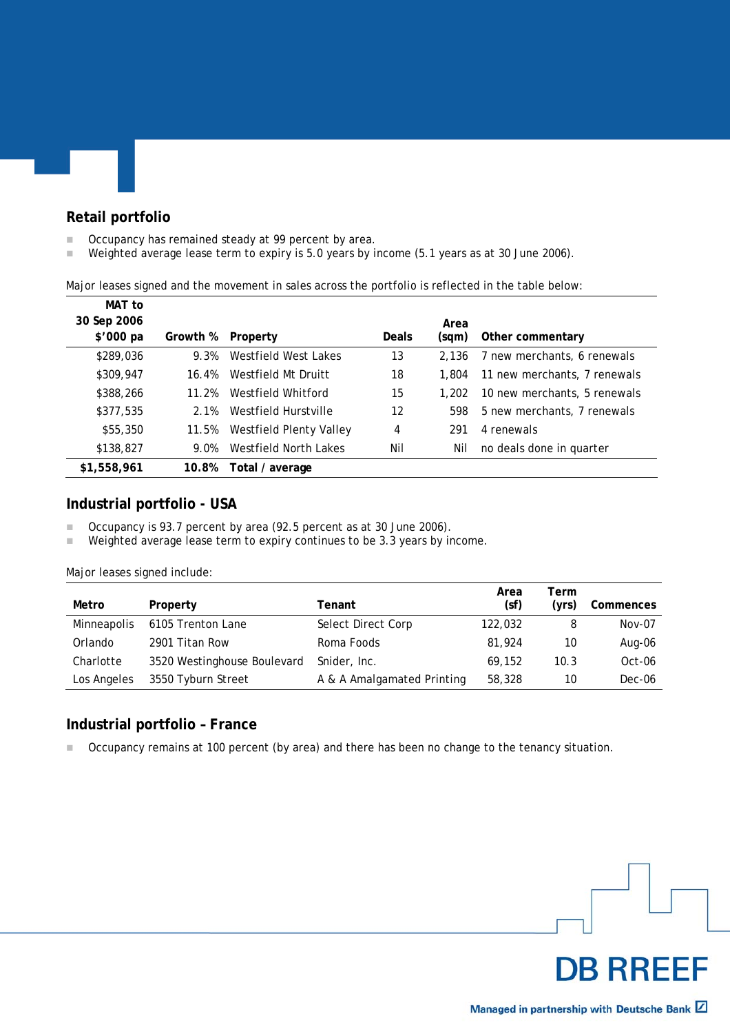## **Retail portfolio**

- Occupancy has remained steady at 99 percent by area.
- Weighted average lease term to expiry is 5.0 years by income (5.1 years as at 30 June 2006).

Major leases signed and the movement in sales across the portfolio is reflected in the table below:

| MAT to      |          |                         |       |       |                              |
|-------------|----------|-------------------------|-------|-------|------------------------------|
| 30 Sep 2006 |          |                         |       | Area  |                              |
| \$'000 pa   | Growth % | Property                | Deals | (sqm) | Other commentary             |
| \$289,036   | 9.3%     | Westfield West Lakes    | 13    | 2.136 | 7 new merchants, 6 renewals  |
| \$309,947   | 16.4%    | Westfield Mt Druitt     | 18    | 1.804 | 11 new merchants, 7 renewals |
| \$388,266   | 11.2%    | Westfield Whitford      | 15    | 1.202 | 10 new merchants, 5 renewals |
| \$377,535   | 2.1%     | Westfield Hurstville    | 12    | 598   | 5 new merchants, 7 renewals  |
| \$55,350    | 11.5%    | Westfield Plenty Valley | 4     | 291   | 4 renewals                   |
| \$138,827   | 9.0%     | Westfield North Lakes   | Nil   | Nil   | no deals done in quarter     |
| \$1,558,961 | 10.8%    | Total / average         |       |       |                              |

#### **Industrial portfolio - USA**

■ Occupancy is 93.7 percent by area (92.5 percent as at 30 June 2006).

■ Weighted average lease term to expiry continues to be 3.3 years by income.

Major leases signed include:

| Metro              | Property                    | Tenant                     | Area<br>(sf) | Term<br>(vrs) | Commences |
|--------------------|-----------------------------|----------------------------|--------------|---------------|-----------|
| <b>Minneapolis</b> | 6105 Trenton Lane           | Select Direct Corp         | 122,032      | 8             | Nov-07    |
| Orlando            | 2901 Titan Row              | Roma Foods                 | 81,924       | 10            | Aug-06    |
| Charlotte          | 3520 Westinghouse Boulevard | Snider, Inc.               | 69.152       | 10.3          | Oct-06    |
| Los Angeles        | 3550 Tyburn Street          | A & A Amalgamated Printing | 58,328       | 10            | Dec-06    |

#### **Industrial portfolio – France**

■ Occupancy remains at 100 percent (by area) and there has been no change to the tenancy situation.

**DB RREEF**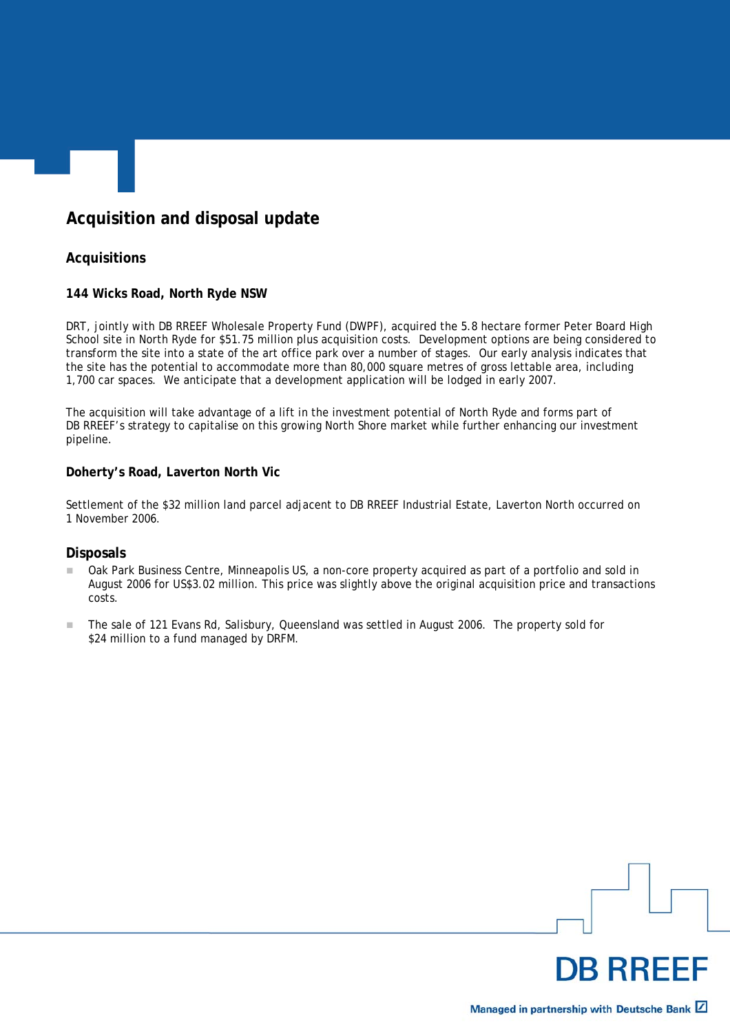# **Acquisition and disposal update**

## **Acquisitions**

#### **144 Wicks Road, North Ryde NSW**

DRT, jointly with DB RREEF Wholesale Property Fund (DWPF), acquired the 5.8 hectare former Peter Board High School site in North Ryde for \$51.75 million plus acquisition costs. Development options are being considered to transform the site into a state of the art office park over a number of stages. Our early analysis indicates that the site has the potential to accommodate more than 80,000 square metres of gross lettable area, including 1,700 car spaces. We anticipate that a development application will be lodged in early 2007.

The acquisition will take advantage of a lift in the investment potential of North Ryde and forms part of DB RREEF's strategy to capitalise on this growing North Shore market while further enhancing our investment pipeline.

#### **Doherty's Road, Laverton North Vic**

Settlement of the \$32 million land parcel adjacent to DB RREEF Industrial Estate, Laverton North occurred on 1 November 2006.

#### **Disposals**

- Oak Park Business Centre, Minneapolis US, a non-core property acquired as part of a portfolio and sold in August 2006 for US\$3.02 million. This price was slightly above the original acquisition price and transactions costs.
- The sale of 121 Evans Rd, Salisbury, Queensland was settled in August 2006. The property sold for \$24 million to a fund managed by DRFM.

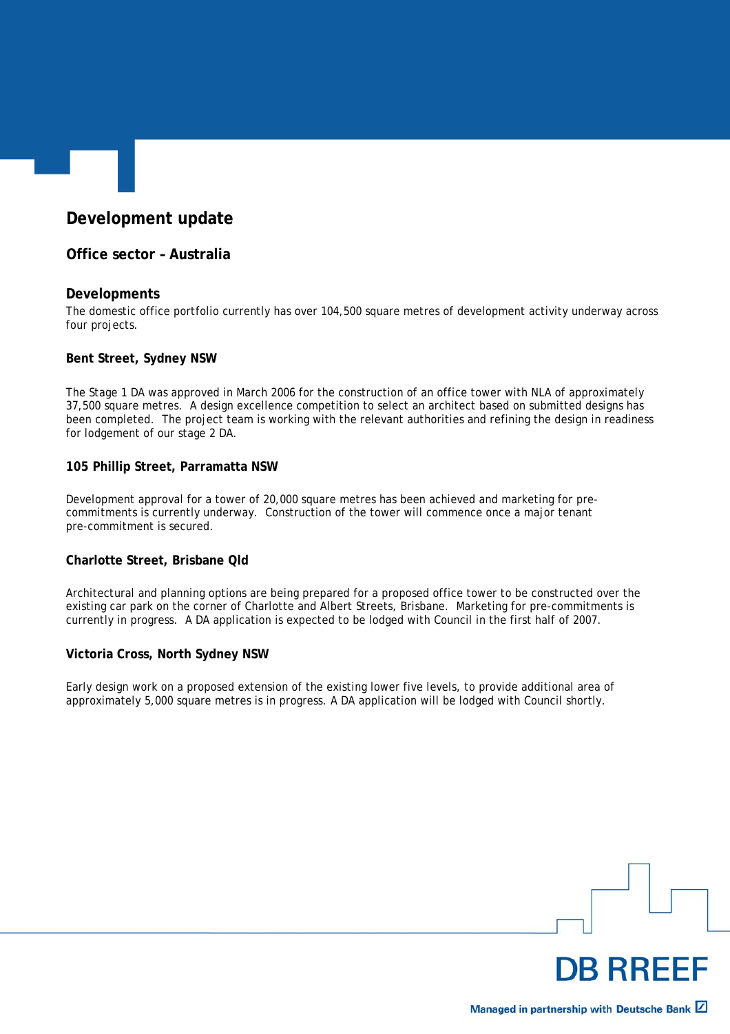# **Development update**

#### **Office sector – Australia**

#### **Developments**

The domestic office portfolio currently has over 104,500 square metres of development activity underway across four projects.

#### **Bent Street, Sydney NSW**

The Stage 1 DA was approved in March 2006 for the construction of an office tower with NLA of approximately 37,500 square metres. A design excellence competition to select an architect based on submitted designs has been completed. The project team is working with the relevant authorities and refining the design in readiness for lodgement of our stage 2 DA.

#### **105 Phillip Street, Parramatta NSW**

Development approval for a tower of 20,000 square metres has been achieved and marketing for precommitments is currently underway. Construction of the tower will commence once a major tenant pre-commitment is secured.

#### **Charlotte Street, Brisbane Qld**

Architectural and planning options are being prepared for a proposed office tower to be constructed over the existing car park on the corner of Charlotte and Albert Streets, Brisbane. Marketing for pre-commitments is currently in progress. A DA application is expected to be lodged with Council in the first half of 2007.

#### **Victoria Cross, North Sydney NSW**

Early design work on a proposed extension of the existing lower five levels, to provide additional area of approximately 5,000 square metres is in progress. A DA application will be lodged with Council shortly.

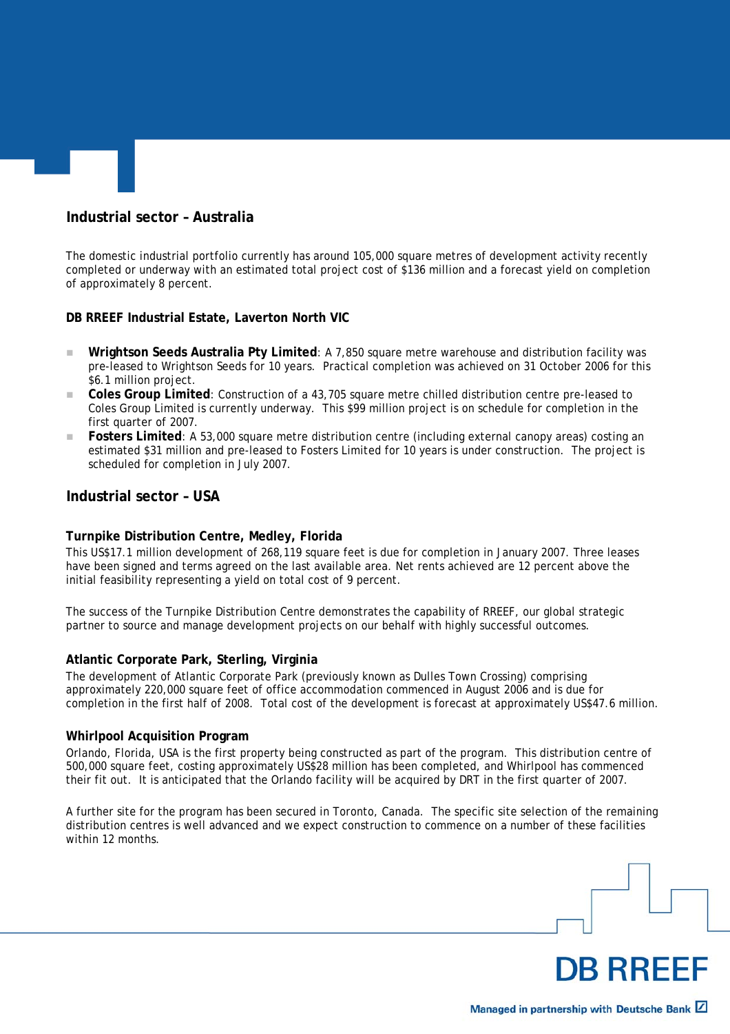## **Industrial sector – Australia**

The domestic industrial portfolio currently has around 105,000 square metres of development activity recently completed or underway with an estimated total project cost of \$136 million and a forecast yield on completion of approximately 8 percent.

#### **DB RREEF Industrial Estate, Laverton North VIC**

- **Wrightson Seeds Australia Pty Limited**: A 7,850 square metre warehouse and distribution facility was pre-leased to Wrightson Seeds for 10 years. Practical completion was achieved on 31 October 2006 for this \$6.1 million project.
- **Coles Group Limited**: Construction of a 43,705 square metre chilled distribution centre pre-leased to Coles Group Limited is currently underway. This \$99 million project is on schedule for completion in the first quarter of 2007.
- **Fosters Limited**: A 53,000 square metre distribution centre (including external canopy areas) costing an estimated \$31 million and pre-leased to Fosters Limited for 10 years is under construction. The project is scheduled for completion in July 2007.

#### **Industrial sector – USA**

#### **Turnpike Distribution Centre, Medley, Florida**

This US\$17.1 million development of 268,119 square feet is due for completion in January 2007. Three leases have been signed and terms agreed on the last available area. Net rents achieved are 12 percent above the initial feasibility representing a yield on total cost of 9 percent.

The success of the Turnpike Distribution Centre demonstrates the capability of RREEF, our global strategic partner to source and manage development projects on our behalf with highly successful outcomes.

#### **Atlantic Corporate Park, Sterling, Virginia**

The development of Atlantic Corporate Park (previously known as Dulles Town Crossing) comprising approximately 220,000 square feet of office accommodation commenced in August 2006 and is due for completion in the first half of 2008. Total cost of the development is forecast at approximately US\$47.6 million.

#### **Whirlpool Acquisition Program**

Orlando, Florida, USA is the first property being constructed as part of the program. This distribution centre of 500,000 square feet, costing approximately US\$28 million has been completed, and Whirlpool has commenced their fit out. It is anticipated that the Orlando facility will be acquired by DRT in the first quarter of 2007.

A further site for the program has been secured in Toronto, Canada. The specific site selection of the remaining distribution centres is well advanced and we expect construction to commence on a number of these facilities within 12 months.

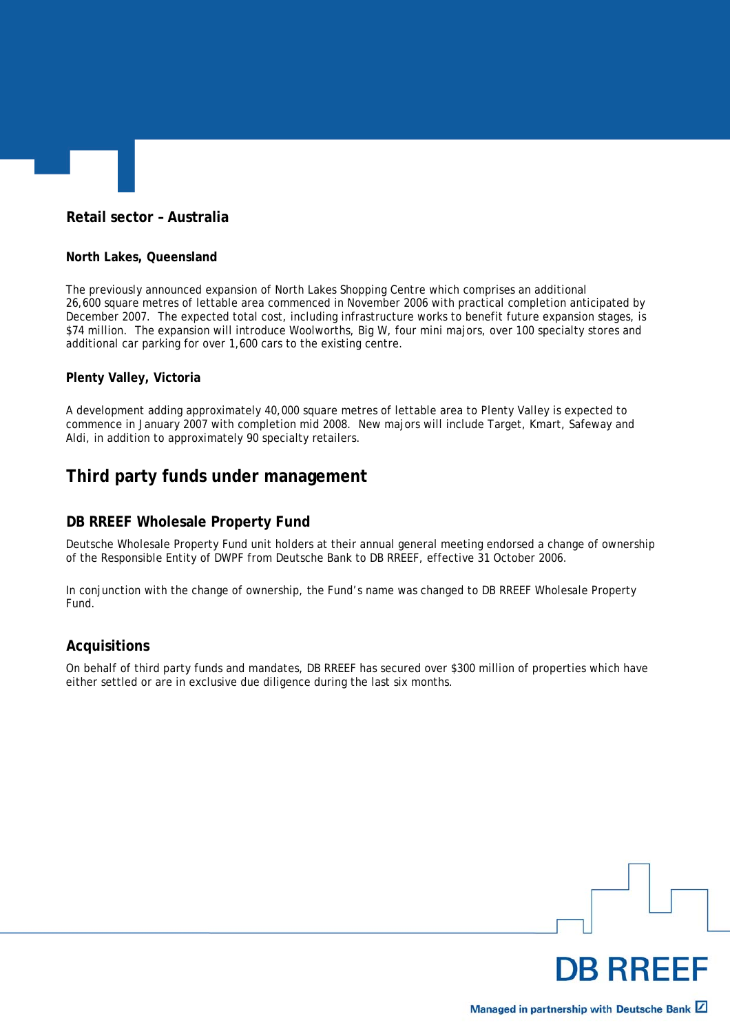# **Retail sector – Australia**

#### **North Lakes, Queensland**

The previously announced expansion of North Lakes Shopping Centre which comprises an additional 26,600 square metres of lettable area commenced in November 2006 with practical completion anticipated by December 2007. The expected total cost, including infrastructure works to benefit future expansion stages, is \$74 million. The expansion will introduce Woolworths, Big W, four mini majors, over 100 specialty stores and additional car parking for over 1,600 cars to the existing centre.

#### **Plenty Valley, Victoria**

A development adding approximately 40,000 square metres of lettable area to Plenty Valley is expected to commence in January 2007 with completion mid 2008. New majors will include Target, Kmart, Safeway and Aldi, in addition to approximately 90 specialty retailers.

# **Third party funds under management**

#### **DB RREEF Wholesale Property Fund**

Deutsche Wholesale Property Fund unit holders at their annual general meeting endorsed a change of ownership of the Responsible Entity of DWPF from Deutsche Bank to DB RREEF, effective 31 October 2006.

In conjunction with the change of ownership, the Fund's name was changed to DB RREEF Wholesale Property Fund.

#### **Acquisitions**

On behalf of third party funds and mandates, DB RREEF has secured over \$300 million of properties which have either settled or are in exclusive due diligence during the last six months.